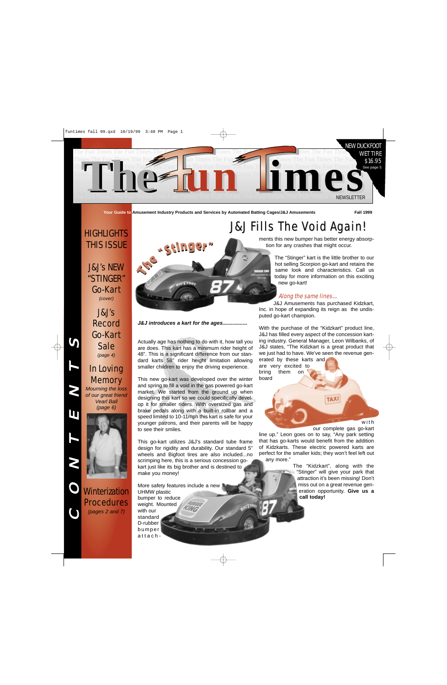

**Your Guide to Amusement Industry Products and Services by Automated Batting Cages/J&J Amusements Fall 1999**

# **HIGHLIGHTS** THIS ISSUE

J&J's NEW "STINGER" Go-Kart *(cover)*

# In Loving **Memory**

*Mourning the loss of our great friend Vearl Ball (page 6)*



**Winterization Procedures** *(pages 2 and 7)*

C

O

N

T

E

N

T

 $\mathbf{\Omega}$ 

# a Geln

ments this new bumper has better energy absorption for any crashes that might occur. J&J Fills The Void Again! J&J Fills The Void Again!

> The "Stinger" kart is the little brother to our hot selling Scorpion go-kart and retains the same look and characteristics. Call us today for more information on this exciting new go-kart!

#### Along the same lines....

J&J Amusements has purchased Kidzkart, Inc. in hope of expanding its reign as the undisputed go-kart champion.

With the purchase of the "Kidzkart" product line, J&J has filled every aspect of the concession karting industry. General Manager, Leon Wilbanks, of J&J states, "The Kidzkart is a great product that we just had to have. We've seen the revenue generated by these karts and

are very excited to bring them on board

with

our complete gas go-kart line up." Leon goes on to say, "Any park setting that has go-karts would benefit from the addition of Kidzkarts. These electric powered karts are perfect for the smaller kids; they won't feel left out any more."

> The "Kidzkart", along with the "Stinger" will give your park that attraction it's been missing! Don't miss out on a great revenue generation opportunity. **Give us a call today!**

**TAX** 

*J&J introduces a kart for the ages.................*

Actually age has nothing to do with it, how tall you are does. This kart has a minimum rider height of 48". This is a significant difference from our standard karts 58" rider height limitation allowing smaller children to enjoy the driving experience.

This new go-kart was developed over the winter and spring to fill a void in the gas powered go-kart market. We started from the ground up when designing this kart so we could specifically develop it for smaller riders. With oversized gas and brake pedals along with a built-in rollbar and a speed limited to 10-11mph this kart is safe for your younger patrons, and their parents will be happy to see their smiles.

This go-kart utilizes J&J's standard tube frame design for rigidity and durability. Our standard 5" wheels and Bigfoot tires are also included...no scrimping here, this is a serious concession gokart just like its big brother and is destined to make you money!

More safety features include a new UHMW plastic bumper to reduce weight. Mounted

with our standard D-rubber bumper attach-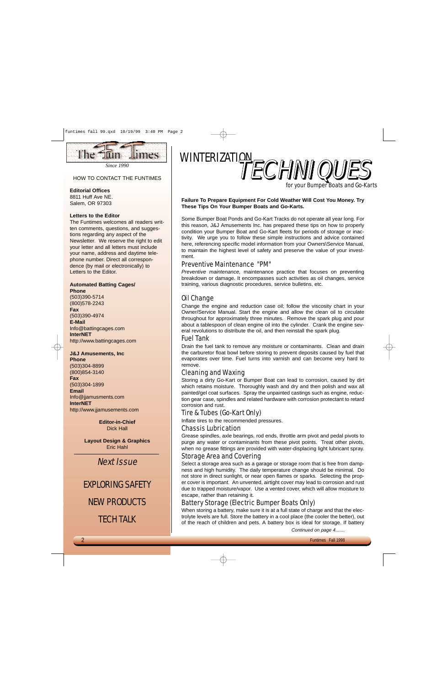

*Since 1990*

#### HOW TO CONTACT THE FUNTIMES

#### **Editorial Offices**

8811 Huff Ave NE. Salem, OR 97303

#### **Letters to the Editor**

The Funtimes welcomes all readers written comments, questions, and suggestions regarding any aspect of the Newsletter. We reserve the right to edit your letter and all letters must include your name, address and daytime telephone number. Direct all correspondence (by mail or electronically) to Letters to the Editor.

#### **Automated Batting Cages/**

**Phone** (503)390-5714 (800)578-2243 **Fax** (503)390-4974 **E-Mail** Info@battingcages.com **InterNET** http://www.battingcages.com

**J&J Amusements, Inc**

**Phone** (503)304-8899 (800)854-3140 **Fax** (503)304-1899 **Email** Info@jjamusments.com **InterNET** http://www.jjamusements.com

> **Editor-in-Chief** Dick Hall

**Layout Design & Graphics** Eric Hahl

Next Issue

# EXPLORING SAFETY

# NEW PRODUCTS

TECH TALK



for your Bumper Boats and Go-Karts

#### **Failure To Prepare Equipment For Cold Weather Will Cost You Money. Try These Tips On Your Bumper Boats and Go-Karts.**

Some Bumper Boat Ponds and Go-Kart Tracks do not operate all year long. For this reason, J&J Amusements Inc. has prepared these tips on how to properly condition your Bumper Boat and Go-Kart fleets for periods of storage or inactivity. We urge you to follow these simple instructions and advice contained here, referencing specific model information from your Owners\Service Manual, to maintain the highest level of safety and preserve the value of your investment.

#### Preventive Maintenance "PM"

*Preventive maintenance,* maintenance practice that focuses on preventing breakdown or damage. It encompasses such activities as oil changes, service training, various diagnostic procedures, service bulletins, etc.

#### Oil Change

Change the engine and reduction case oil; follow the viscosity chart in your Owner/Service Manual. Start the engine and allow the clean oil to circulate throughout for approximately three minutes. Remove the spark plug and pour about a tablespoon of clean engine oil into the cylinder. Crank the engine several revolutions to distribute the oil, and then reinstall the spark plug.

#### Fuel Tank

Drain the fuel tank to remove any moisture or contaminants. Clean and drain the carburetor float bowl before storing to prevent deposits caused by fuel that evaporates over time. Fuel turns into varnish and can become very hard to remove.

#### Cleaning and Waxing

Storing a dirty Go-Kart or Bumper Boat can lead to corrosion, caused by dirt which retains moisture. Thoroughly wash and dry and then polish and wax all painted/gel coat surfaces. Spray the unpainted castings such as engine, reduction gear case, spindles and related hardware with corrosion protectant to retard corrosion and rust.

#### Tire & Tubes (Go-Kart Only)

Inflate tires to the recommended pressures.

Chassis Lubrication

Grease spindles, axle bearings, rod ends, throttle arm pivot and pedal pivots to purge any water or contaminants from these pivot points. Treat other pivots, when no grease fittings are provided with water-displacing light lubricant spray.

### Storage Area and Covering

Select a storage area such as a garage or storage room that is free from dampness and high humidity. The daily temperature change should be minimal. Do not store in direct sunlight, or near open flames or sparks. Selecting the proper cover is important. An unvented, airtight cover may lead to corrosion and rust due to trapped moisture/vapor. Use a vented cover, which will allow moisture to escape, rather than retaining it.

## Battery Storage (Electric Bumper Boats Only)

When storing a battery, make sure it is at a full state of charge and that the electrolyte levels are full. Store the battery in a cool place (the cooler the better), out of the reach of children and pets. A battery box is ideal for storage. If battery

*Continued on page 4.......*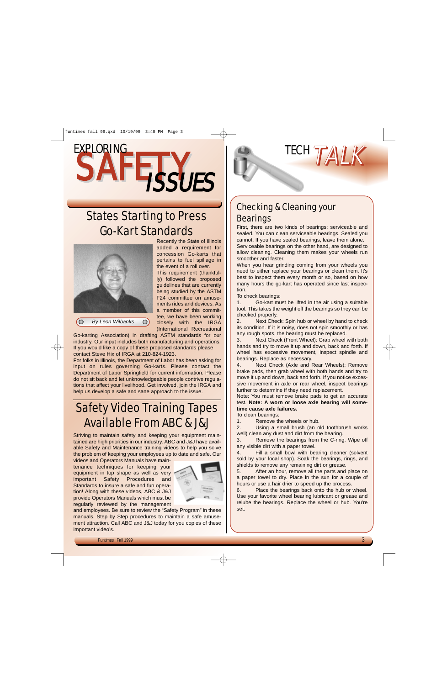# SAFETY ISSUES EXPLORING

# States Starting to Press Go-Kart Standards



Recently the State of Illinois added a requirement for concession Go-karts that pertains to fuel spillage in the event of a roll over.

This requirement (thankfully) followed the proposed guidelines that are currently being studied by the ASTM F24 committee on amusements rides and devices. As a member of this committee, we have been working closely with the IRGA (International Recreational

*By Leon Wilbanks*  $\bigcirc$ 

Go-karting Association) in drafting ASTM standards for our industry. Our input includes both manufacturing and operations. If you would like a copy of these proposed standards please contact Steve Hix of IRGA at 210-824-1923.

For folks in Illinois, the Department of Labor has been asking for input on rules governing Go-karts. Please contact the Department of Labor Springfield for current information. Please do not sit back and let unknowledgeable people contrive regulations that affect your livelihood. Get involved, join the IRGA and help us develop a safe and sane approach to the issue.

# Safety Video Training Tapes Available From ABC & J&J

Striving to maintain safety and keeping your equipment maintained are high priorities in our industry. ABC and J&J have available Safety and Maintenance training videos to help you solve the problem of keeping your employees up to date and safe. Our

videos and Operators Manuals have maintenance techniques for keeping your equipment in top shape as well as very important Safety Procedures and Standards to insure a safe and fun operation! Along with these videos, ABC & J&J provide Operators Manuals which must be regularly reviewed by the management



and employees. Be sure to review the "Safety Program" in these manuals. Step by Step procedures to maintain a safe amusement attraction. Call ABC and J&J today for you copies of these important video's.

# Checking & Cleaning your **Bearings**

First, there are two kinds of bearings: serviceable and sealed. You can clean serviceable bearings. Sealed you cannot. If you have sealed bearings, leave them alone. Serviceable bearings on the other hand, are designed to allow cleaning. Cleaning them makes your wheels run smoother and faster.

When you hear grinding coming from your wheels you need to either replace your bearings or clean them. It's best to inspect them every month or so, based on how many hours the go-kart has operated since last inspection.

To check bearings:

1. Go-kart must be lifted in the air using a suitable tool. This takes the weight off the bearings so they can be checked properly.

2. Next Check: Spin hub or wheel by hand to check its condition. If it is noisy, does not spin smoothly or has any rough spots, the bearing must be replaced.

3. Next Check (Front Wheel): Grab wheel with both hands and try to move it up and down, back and forth. If wheel has excessive movement, inspect spindle and bearings. Replace as necessary.

4. Next Check (Axle and Rear Wheels): Remove brake pads, then grab wheel with both hands and try to move it up and down, back and forth. If you notice excessive movement in axle or rear wheel, inspect bearings further to determine if they need replacement.

Note: You must remove brake pads to get an accurate test. **Note: A worn or loose axle bearing will sometime cause axle failures.**

To clean bearings:

1. Remove the wheels or hub.

2. Using a small brush (an old toothbrush works well) clean any dust and dirt from the bearing.

3. Remove the bearings from the C-ring. Wipe off any visible dirt with a paper towel.

4. Fill a small bowl with bearing cleaner (solvent sold by your local shop). Soak the bearings, rings, and shields to remove any remaining dirt or grease.

5. After an hour, remove all the parts and place on a paper towel to dry. Place in the sun for a couple of hours or use a hair drier to speed up the process.

6. Place the bearings back onto the hub or wheel. Use your favorite wheel bearing lubricant or grease and relube the bearings. Replace the wheel or hub. You're set.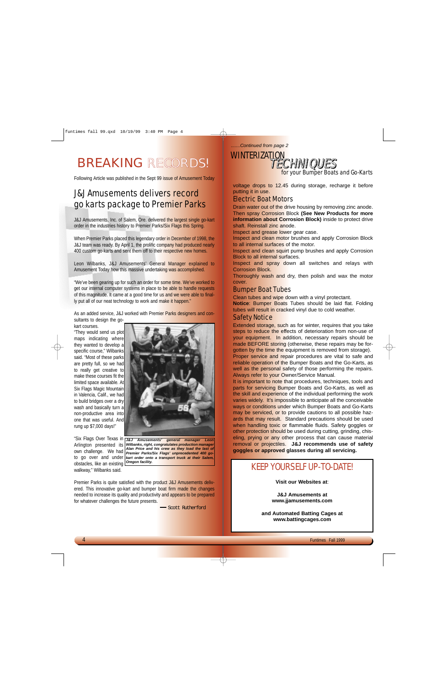# BREAKING RECORDS!

Following Article was published in the Sept 99 issue of Amusement Today

# J&J Amusements delivers record go karts package to Premier Parks

J&J Amusements, Inc. of Salem, Ore. delivered the largest single go-kart order in the industries history to Premier Parks/Six Flags this Spring.

When Premier Parks placed this legendary order in December of 1998, the J&J team was ready. By April 1, the prolific company had produced nearly 400 custom go-karts and sent them off to their respective new homes.

Leon Wilbanks, J&J Amusements' General Manager explained to Amusement Today how this massive undertaking was accomplished.

"We've been gearing up for such an order for some time. We've worked to get our internal computer systems in place to be able to handle requests of this magnitude. It came at a good time for us and we were able to finally put all of our neat technology to work and make it happen."

As an added service, J&J worked with Premier Parks designers and consultants to design the go-

kart courses.

"They would send us plot maps indicating where they wanted to develop a specific course," Wilbanks said. "Most of these parks are pretty full, so we had to really get creative to make these courses fit the limited space available. At Six Flags Magic Mountain in Valencia, Calif., we had to build bridges over a dry wash and basically turn a non-productive area into one that was useful. And rung up \$7,000 days!"





Premier Parks is quite satisfied with the product J&J Amusements delivered. This innovative go-kart and bumper boat firm made the changes needed to increase its quality and productivity and appears to be prepared for whatever challenges the future presents.

Scott Rutherford

*.......Continued from page 2*



for your Bumper Boats and Go-Karts

voltage drops to 12.45 during storage, recharge it before putting it in use.

#### Electric Boat Motors

Drain water out of the drive housing by removing zinc anode. Then spray Corrosion Block **(See New Products for more information about Corrosion Block)** inside to protect drive shaft. Reinstall zinc anode.

Inspect and grease lower gear case.

Inspect and clean motor brushes and apply Corrosion Block to all internal surfaces of the motor.

Inspect and clean squirt pump brushes and apply Corrosion Block to all internal surfaces.

Inspect and spray down all switches and relays with Corrosion Block.

Thoroughly wash and dry, then polish and wax the motor cover.

#### Bumper Boat Tubes

Clean tubes and wipe down with a vinyl protectant.

**Notice**: Bumper Boats Tubes should be laid flat. Folding tubes will result in cracked vinyl due to cold weather.

#### Safety Notice

Extended storage, such as for winter, requires that you take steps to reduce the effects of deterioration from non-use of your equipment. In addition, necessary repairs should be made BEFORE storing (otherwise, these repairs may be forgotten by the time the equipment is removed from storage).

Proper service and repair procedures are vital to safe and reliable operation of the Bumper Boats and the Go-Karts, as well as the personal safety of those performing the repairs. Always refer to your Owner/Service Manual.

It is important to note that procedures, techniques, tools and parts for servicing Bumper Boats and Go-Karts, as well as the skill and experience of the individual performing the work varies widely. It's impossible to anticipate all the conceivable ways or conditions under which Bumper Boats and Go-Karts may be serviced, or to provide cautions to all possible hazards that may result. Standard precautions should be used when handling toxic or flammable fluids. Safety goggles or other protection should be used during cutting, grinding, chiseling, prying or any other process that can cause material removal or projectiles. **J&J recommends use of safety goggles or approved glasses during all servicing.** 

# KEEP YOURSELF UP-TO-DATE!

**Visit our Websites at**:

**J&J Amusements at www.jjamusements.com**

**and Automated Batting Cages at www.battingcages.com**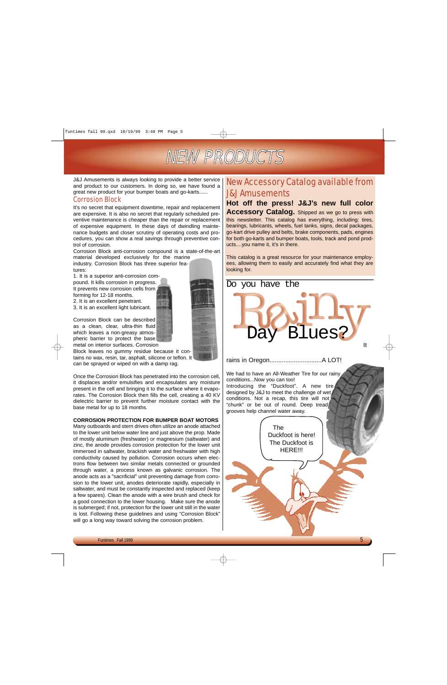

J&J Amusements is always looking to provide a better service and product to our customers. In doing so, we have found a great new product for your bumper boats and go-karts......

#### Corrosion Block

It's no secret that equipment downtime, repair and replacement are expensive. It is also no secret that regularly scheduled preventive maintenance is cheaper than the repair or replacement of expensive equipment. In these days of dwindling maintenance budgets and closer scrutiny of operating costs and procedures, you can show a real savings through preventive control of corrosion.

Corrosion Block anti-corrosion compound is a state-of-the-art material developed exclusively for the marine

industry. Corrosion Block has three superior features:

1. It is a superior anti-corrosion com-

pound. It kills corrosion in progress. It prevents new corrosion cells from forming for 12-18 months.

2. It is an excellent penetrant.

3. It is an excellent light lubricant.

Corrosion Block can be described as a clean, clear, ultra-thin fluid which leaves a non-greasy atmospheric barrier to protect the base metal on interior surfaces. Corrosion

Block leaves no gummy residue because it contains no wax, resin, tar, asphalt, silicone or teflon. It

can be sprayed or wiped on with a damp rag.

Once the Corrosion Block has penetrated into the corrosion cell, it displaces and/or emulsifies and encapsulates any moisture present in the cell and bringing it to the surface where it evaporates. The Corrosion Block then fills the cell, creating a 40 KV dielectric barrier to prevent further moisture contact with the base metal for up to 18 months.

#### **CORROSION PROTECTION FOR BUMPER BOAT MOTORS**

Many outboards and stern drives often utilize an anode attached to the lower unit below water line and just above the prop. Made of mostly aluminum (freshwater) or magnesium (saltwater) and zinc, the anode provides corrosion protection for the lower unit immersed in saltwater, brackish water and freshwater with high conductivity caused by pollution. Corrosion occurs when electrons flow between two similar metals connected or grounded through water, a process known as galvanic corrosion. The anode acts as a "sacrificial" unit preventing damage from corrosion to the lower unit, anodes deteriorate rapidly, especially in saltwater, and must be constantly inspected and replaced (keep a few spares). Clean the anode with a wire brush and check for a good connection to the lower housing. Make sure the anode is submerged; if not, protection for the lower unit still in the water is lost. Following these guidelines and using "Corrosion Block" will go a long way toward solving the corrosion problem.

# New Accessory Catalog available from J&J Amusements

# **Hot off the press! J&J's new full color Accessory Catalog.** Shipped as we go to press with

this newsletter. This catalog has everything, including: tires, bearings, lubricants, wheels, fuel tanks, signs, decal packages, go-kart drive pulley and belts, brake components, pads, engines for both go-karts and bumper boats, tools, track and pond products....you name it, it's in there.

This catalog is a great resource for your maintenance employees, allowing them to easily and accurately find what they are looking for.

ay Blues?

Do you have the

#### rains in Oregon..............................A LOT!

We had to have an All-Weather Tire for our rainy conditions...Now you can too! Introducing the "Duckfoot". A new tire designed by J&J to meet the challenge of wet conditions. Not a recap, this tire will not "chunk" or be out of round. Deep tread grooves help channel water away.



It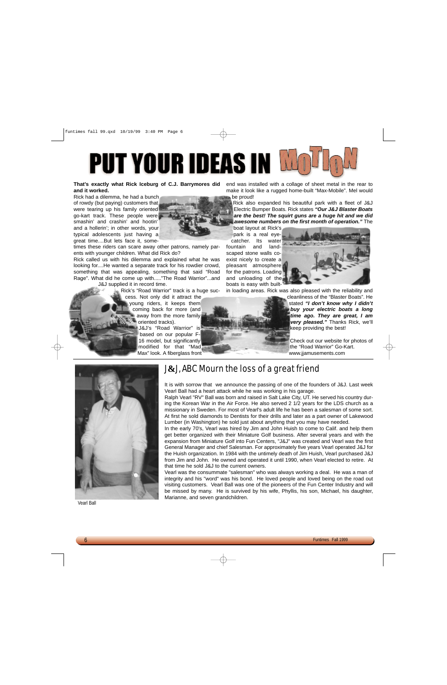# **PUT YOUR IDEAS IN WE**

#### **That's exactly what Rick Iceburg of C.J. Barrymores did and it worked.**

Rick had a dilemma, he had a bunch of rowdy (but paying) customers that were tearing up his family oriented go-kart track. These people were smashin' and crashin' and hootin' and a hollerin'; in other words, your typical adolescents just having a great time....But lets face it, some-

times these riders can scare away other patrons, namely parents with younger children. What did Rick do?

Rick called us with his dilemma and explained what he was looking for....He wanted a separate track for his rowdier crowd, something that was appealing, something that said "Road Rage". What did he come up with....."The Road Warrior"...and

J&J supplied it in record time.

Rick's "Road Warrior" track is a huge success. Not only did it attract the young riders, it keeps them coming back for more (and away from the more family oriented tracks). J&J's "Road Warrior" is based on our popular F-

> 16 model, but significantly modified for that "Mad Max" look. A fiberglass front

end was installed with a collage of sheet metal in the rear to make it look like a rugged home-built "Max-Mobile". Mel would be proud!

Rick also expanded his beautiful park with a fleet of J&J Electric Bumper Boats. Rick states *"Our J&J Blaster Boats are the best! The squirt guns are a huge hit and we did awesome numbers on the first month of operation."* The

boat layout at Rick's park is a real eyecatcher. Its water fountain and landscaped stone walls coexist nicely to create a pleasant atmosphere

for the patrons. Loading

and unloading of the boats is easy with built-

in loading areas. Rick was also pleased with the reliability and

cleanliness of the "Blaster Boats". He stated *"I don't know why I didn't buy your electric boats a long time ago. They are great, I am very pleased."* Thanks Rick, we'll keep providing the best!

Check out our website for photos of the "Road Warrior" Go-Kart. www.jjamusements.com



Vearl Ball

# J**&**J, ABC Mourn the loss of a great friend

It is with sorrow that we announce the passing of one of the founders of J&J. Last week Vearl Ball had a heart attack while he was working in his garage.

Ralph Vearl "RV" Ball was born and raised in Salt Lake City, UT. He served his country during the Korean War in the Air Force. He also served 2 1/2 years for the LDS church as a missionary in Sweden. For most of Vearl's adult life he has been a salesman of some sort. At first he sold diamonds to Dentists for their drills and later as a part owner of Lakewood Lumber (in Washington) he sold just about anything that you may have needed.

In the early 70's, Vearl was hired by Jim and John Huish to come to Calif. and help them get better organized with their Miniature Golf business. After several years and with the expansion from Miniature Golf into Fun Centers, "J&J" was created and Vearl was the first General Manager and chief Salesman. For approximately five years Vearl operated J&J for the Huish organization. In 1984 with the untimely death of Jim Huish, Vearl purchased J&J from Jim and John. He owned and operated it until 1990, when Vearl elected to retire. At that time he sold J&J to the current owners.

Vearl was the consummate "salesman" who was always working a deal. He was a man of integrity and his "word" was his bond. He loved people and loved being on the road out visiting customers. Vearl Ball was one of the pioneers of the Fun Center Industry and will be missed by many. He is survived by his wife, Phyllis, his son, Michael, his daughter, Marianne, and seven grandchildren.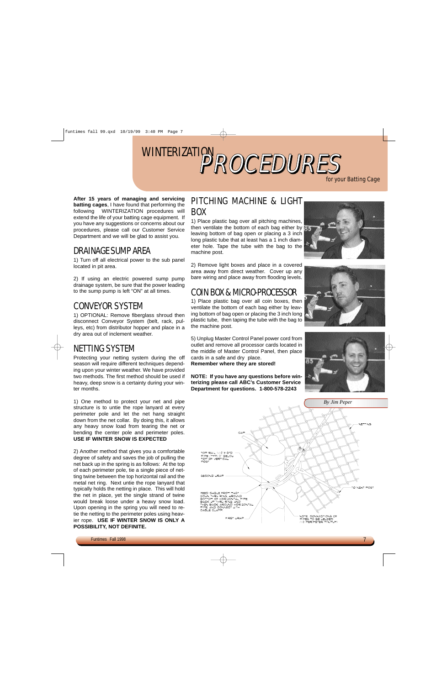# WINTERIZATION PROCEDURES

for your Batting Cage

**After 15 years of managing and servicing batting cages**, I have found that performing the following WINTERIZATION procedures will extend the life of your batting cage equipment. If you have any suggestions or concerns about our procedures, please call our Customer Service Department and we will be glad to assist you.

# DRAINAGE SUMP AREA

1) Turn off all electrical power to the sub panel located in pit area.

2) If using an electric powered sump pump drainage system, be sure that the power leading to the sump pump is left "ON" at all times.

# CONVEYOR SYSTEM

1) OPTIONAL: Remove fiberglass shroud then disconnect Conveyor System (belt, rack, pulleys, etc) from distributor hopper and place in a dry area out of inclement weather.

# NETTING SYSTEM

Protecting your netting system during the off season will require different techniques depending upon your winter weather. We have provided two methods. The first method should be used if heavy, deep snow is a certainty during your winter months.

1) One method to protect your net and pipe structure is to untie the rope lanyard at every perimeter pole and let the net hang straight down from the net collar. By doing this, it allows any heavy snow load from tearing the net or bending the center pole and perimeter poles. **USE IF WINTER SNOW IS EXPECTED**

2) Another method that gives you a comfortable degree of safety and saves the job of pulling the net back up in the spring is as follows: At the top of each perimeter pole, tie a single piece of netting twine between the top horizontal rail and the metal net ring. Next untie the rope lanyard that typically holds the netting in place. This will hold the net in place, yet the single strand of twine would break loose under a heavy snow load. Upon opening in the spring you will need to retie the netting to the perimeter poles using heavier rope. **USE IF WINTER SNOW IS ONLY A POSSIBILITY, NOT DEFINITE.**

## PITCHING MACHINE & LIGHT BOX

1) Place plastic bag over all pitching machines, then ventilate the bottom of each bag either by leaving bottom of bag open or placing a 3 inch long plastic tube that at least has a 1 inch diameter hole. Tape the tube with the bag to the machine post.

2) Remove light boxes and place in a covered area away from direct weather. Cover up any bare wiring and place away from flooding levels.

# COIN BOX & MICRO-PROCESSOR

1) Place plastic bag over all coin boxes, then ventilate the bottom of each bag either by leaving bottom of bag open or placing the 3 inch long plastic tube, then taping the tube with the bag to the machine post.

5) Unplug Master Control Panel power cord from outlet and remove all processor cards located in the middle of Master Control Panel, then place cards in a safe and dry place.

**Remember where they are stored!**

**NOTE: If you have any questions before winterizing please call ABC's Customer Service Department for questions. 1-800-578-2243**